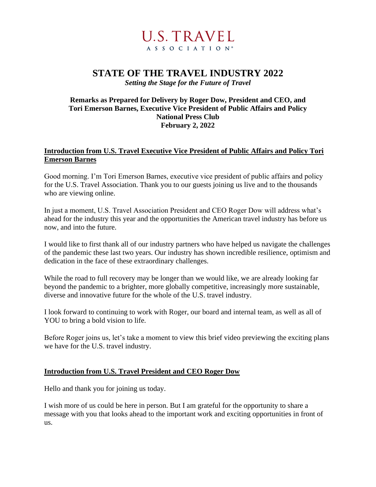

# **STATE OF THE TRAVEL INDUSTRY 2022**

*Setting the Stage for the Future of Travel*

## **Remarks as Prepared for Delivery by Roger Dow, President and CEO, and Tori Emerson Barnes, Executive Vice President of Public Affairs and Policy National Press Club February 2, 2022**

# **Introduction from U.S. Travel Executive Vice President of Public Affairs and Policy Tori Emerson Barnes**

Good morning. I'm Tori Emerson Barnes, executive vice president of public affairs and policy for the U.S. Travel Association. Thank you to our guests joining us live and to the thousands who are viewing online.

In just a moment, U.S. Travel Association President and CEO Roger Dow will address what's ahead for the industry this year and the opportunities the American travel industry has before us now, and into the future.

I would like to first thank all of our industry partners who have helped us navigate the challenges of the pandemic these last two years. Our industry has shown incredible resilience, optimism and dedication in the face of these extraordinary challenges.

While the road to full recovery may be longer than we would like, we are already looking far beyond the pandemic to a brighter, more globally competitive, increasingly more sustainable, diverse and innovative future for the whole of the U.S. travel industry.

I look forward to continuing to work with Roger, our board and internal team, as well as all of YOU to bring a bold vision to life.

Before Roger joins us, let's take a moment to view this brief video previewing the exciting plans we have for the U.S. travel industry.

# **Introduction from U.S. Travel President and CEO Roger Dow**

Hello and thank you for joining us today.

I wish more of us could be here in person. But I am grateful for the opportunity to share a message with you that looks ahead to the important work and exciting opportunities in front of us.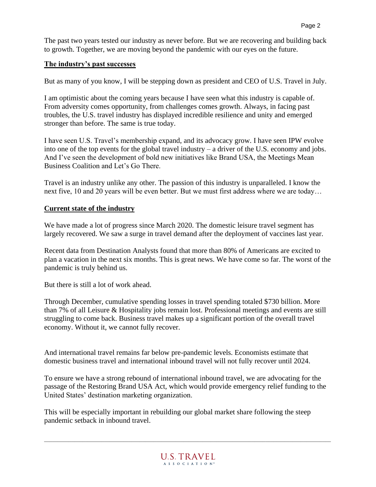The past two years tested our industry as never before. But we are recovering and building back to growth. Together, we are moving beyond the pandemic with our eyes on the future.

## **The industry's past successes**

But as many of you know, I will be stepping down as president and CEO of U.S. Travel in July.

I am optimistic about the coming years because I have seen what this industry is capable of. From adversity comes opportunity, from challenges comes growth. Always, in facing past troubles, the U.S. travel industry has displayed incredible resilience and unity and emerged stronger than before. The same is true today.

I have seen U.S. Travel's membership expand, and its advocacy grow. I have seen IPW evolve into one of the top events for the global travel industry – a driver of the U.S. economy and jobs. And I've seen the development of bold new initiatives like Brand USA, the Meetings Mean Business Coalition and Let's Go There.

Travel is an industry unlike any other. The passion of this industry is unparalleled. I know the next five, 10 and 20 years will be even better. But we must first address where we are today…

## **Current state of the industry**

We have made a lot of progress since March 2020. The domestic leisure travel segment has largely recovered. We saw a surge in travel demand after the deployment of vaccines last year.

Recent data from Destination Analysts found that more than 80% of Americans are excited to plan a vacation in the next six months. This is great news. We have come so far. The worst of the pandemic is truly behind us.

But there is still a lot of work ahead.

Through December, cumulative spending losses in travel spending totaled \$730 billion. More than 7% of all Leisure & Hospitality jobs remain lost. Professional meetings and events are still struggling to come back. Business travel makes up a significant portion of the overall travel economy. Without it, we cannot fully recover.

And international travel remains far below pre-pandemic levels. Economists estimate that domestic business travel and international inbound travel will not fully recover until 2024.

To ensure we have a strong rebound of international inbound travel, we are advocating for the passage of the Restoring Brand USA Act, which would provide emergency relief funding to the United States' destination marketing organization.

This will be especially important in rebuilding our global market share following the steep pandemic setback in inbound travel.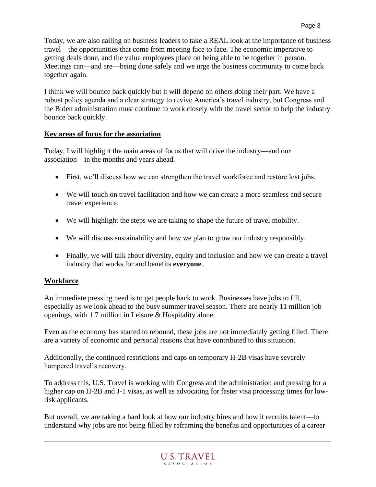Today, we are also calling on business leaders to take a REAL look at the importance of business travel—the opportunities that come from meeting face to face. The economic imperative to getting deals done, and the value employees place on being able to be together in person. Meetings can—and are—being done safely and we urge the business community to come back together again.

I think we will bounce back quickly but it will depend on others doing their part. We have a robust policy agenda and a clear strategy to revive America's travel industry, but Congress and the Biden administration must continue to work closely with the travel sector to help the industry bounce back quickly.

# **Key areas of focus for the association**

Today, I will highlight the main areas of focus that will drive the industry—and our association—in the months and years ahead.

- First, we'll discuss how we can strengthen the travel workforce and restore lost jobs.
- We will touch on travel facilitation and how we can create a more seamless and secure travel experience.
- We will highlight the steps we are taking to shape the future of travel mobility.
- We will discuss sustainability and how we plan to grow our industry responsibly.
- Finally, we will talk about diversity, equity and inclusion and how we can create a travel industry that works for and benefits **everyone**.

# **Workforce**

An immediate pressing need is to get people back to work. Businesses have jobs to fill, especially as we look ahead to the busy summer travel season. There are nearly 11 million job openings, with 1.7 million in Leisure & Hospitality alone.

Even as the economy has started to rebound, these jobs are not immediately getting filled. There are a variety of economic and personal reasons that have contributed to this situation.

Additionally, the continued restrictions and caps on temporary H-2B visas have severely hampered travel's recovery.

To address this, U.S. Travel is working with Congress and the administration and pressing for a higher cap on H-2B and J-1 visas, as well as advocating for faster visa processing times for lowrisk applicants.

But overall, we are taking a hard look at how our industry hires and how it recruits talent—to understand why jobs are not being filled by reframing the benefits and opportunities of a career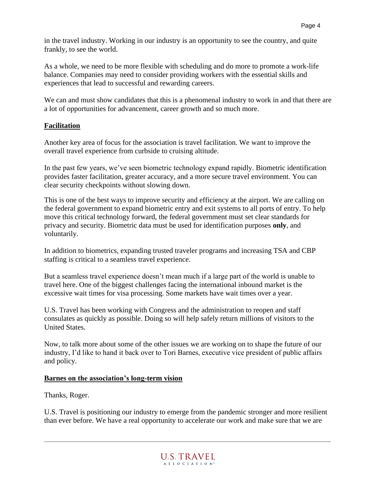in the travel industry. Working in our industry is an opportunity to see the country, and quite frankly, to see the world.

As a whole, we need to be more flexible with scheduling and do more to promote a work-life balance. Companies may need to consider providing workers with the essential skills and experiences that lead to successful and rewarding careers.

We can and must show candidates that this is a phenomenal industry to work in and that there are a lot of opportunities for advancement, career growth and so much more.

# **Facilitation**

Another key area of focus for the association is travel facilitation. We want to improve the overall travel experience from curbside to cruising altitude.

In the past few years, we've seen biometric technology expand rapidly. Biometric identification provides faster facilitation, greater accuracy, and a more secure travel environment. You can clear security checkpoints without slowing down.

This is one of the best ways to improve security and efficiency at the airport. We are calling on the federal government to expand biometric entry and exit systems to all ports of entry. To help move this critical technology forward, the federal government must set clear standards for privacy and security. Biometric data must be used for identification purposes **only**, and voluntarily.

In addition to biometrics, expanding trusted traveler programs and increasing TSA and CBP staffing is critical to a seamless travel experience.

But a seamless travel experience doesn't mean much if a large part of the world is unable to travel here. One of the biggest challenges facing the international inbound market is the excessive wait times for visa processing. Some markets have wait times over a year.

U.S. Travel has been working with Congress and the administration to reopen and staff consulates as quickly as possible. Doing so will help safely return millions of visitors to the United States.

Now, to talk more about some of the other issues we are working on to shape the future of our industry, I'd like to hand it back over to Tori Barnes, executive vice president of public affairs and policy.

# **Barnes on the association's long-term vision**

Thanks, Roger.

U.S. Travel is positioning our industry to emerge from the pandemic stronger and more resilient than ever before. We have a real opportunity to accelerate our work and make sure that we are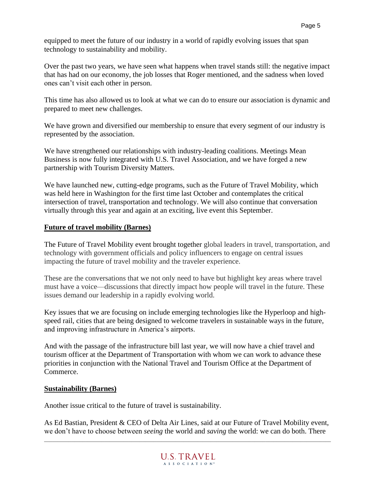equipped to meet the future of our industry in a world of rapidly evolving issues that span technology to sustainability and mobility.

Over the past two years, we have seen what happens when travel stands still: the negative impact that has had on our economy, the job losses that Roger mentioned, and the sadness when loved ones can't visit each other in person.

This time has also allowed us to look at what we can do to ensure our association is dynamic and prepared to meet new challenges.

We have grown and diversified our membership to ensure that every segment of our industry is represented by the association.

We have strengthened our relationships with industry-leading coalitions. Meetings Mean Business is now fully integrated with U.S. Travel Association, and we have forged a new partnership with Tourism Diversity Matters.

We have launched new, cutting-edge programs, such as the Future of Travel Mobility, which was held here in Washington for the first time last October and contemplates the critical intersection of travel, transportation and technology. We will also continue that conversation virtually through this year and again at an exciting, live event this September.

## **Future of travel mobility (Barnes)**

The Future of Travel Mobility event brought together global leaders in travel, transportation, and technology with government officials and policy influencers to engage on central issues impacting the future of travel mobility and the traveler experience.

These are the conversations that we not only need to have but highlight key areas where travel must have a voice—discussions that directly impact how people will travel in the future. These issues demand our leadership in a rapidly evolving world.

Key issues that we are focusing on include emerging technologies like the Hyperloop and highspeed rail, cities that are being designed to welcome travelers in sustainable ways in the future, and improving infrastructure in America's airports.

And with the passage of the infrastructure bill last year, we will now have a chief travel and tourism officer at the Department of Transportation with whom we can work to advance these priorities in conjunction with the National Travel and Tourism Office at the Department of Commerce.

#### **Sustainability (Barnes)**

Another issue critical to the future of travel is sustainability.

As Ed Bastian, President & CEO of Delta Air Lines, said at our Future of Travel Mobility event, we don't have to choose between *seeing* the world and *saving* the world: we can do both. There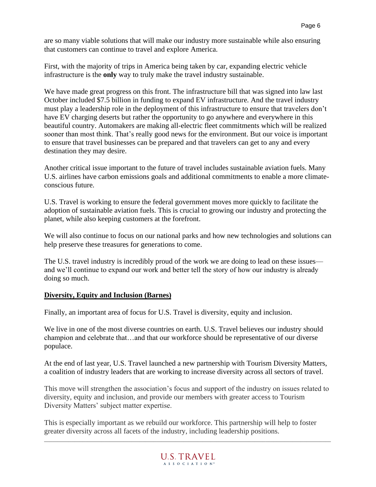are so many viable solutions that will make our industry more sustainable while also ensuring that customers can continue to travel and explore America.

First, with the majority of trips in America being taken by car, expanding electric vehicle infrastructure is the **only** way to truly make the travel industry sustainable.

We have made great progress on this front. The infrastructure bill that was signed into law last October included \$7.5 billion in funding to expand EV infrastructure. And the travel industry must play a leadership role in the deployment of this infrastructure to ensure that travelers don't have EV charging deserts but rather the opportunity to go anywhere and everywhere in this beautiful country. Automakers are making all-electric fleet commitments which will be realized sooner than most think. That's really good news for the environment. But our voice is important to ensure that travel businesses can be prepared and that travelers can get to any and every destination they may desire.

Another critical issue important to the future of travel includes sustainable aviation fuels. Many U.S. airlines have carbon emissions goals and additional commitments to enable a more climateconscious future.

U.S. Travel is working to ensure the federal government moves more quickly to facilitate the adoption of sustainable aviation fuels. This is crucial to growing our industry and protecting the planet, while also keeping customers at the forefront.

We will also continue to focus on our national parks and how new technologies and solutions can help preserve these treasures for generations to come.

The U.S. travel industry is incredibly proud of the work we are doing to lead on these issues and we'll continue to expand our work and better tell the story of how our industry is already doing so much.

#### **Diversity, Equity and Inclusion (Barnes)**

Finally, an important area of focus for U.S. Travel is diversity, equity and inclusion.

We live in one of the most diverse countries on earth. U.S. Travel believes our industry should champion and celebrate that…and that our workforce should be representative of our diverse populace.

At the end of last year, U.S. Travel launched a new partnership with Tourism Diversity Matters, a coalition of industry leaders that are working to increase diversity across all sectors of travel.

This move will strengthen the association's focus and support of the industry on issues related to diversity, equity and inclusion, and provide our members with greater access to Tourism Diversity Matters' subject matter expertise.

This is especially important as we rebuild our workforce. This partnership will help to foster greater diversity across all facets of the industry, including leadership positions.

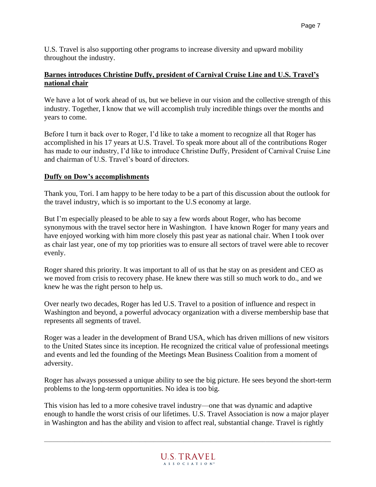U.S. Travel is also supporting other programs to increase diversity and upward mobility throughout the industry.

## **Barnes introduces Christine Duffy, president of Carnival Cruise Line and U.S. Travel's national chair**

We have a lot of work ahead of us, but we believe in our vision and the collective strength of this industry. Together, I know that we will accomplish truly incredible things over the months and years to come.

Before I turn it back over to Roger, I'd like to take a moment to recognize all that Roger has accomplished in his 17 years at U.S. Travel. To speak more about all of the contributions Roger has made to our industry, I'd like to introduce Christine Duffy, President of Carnival Cruise Line and chairman of U.S. Travel's board of directors.

## **Duffy on Dow's accomplishments**

Thank you, Tori. I am happy to be here today to be a part of this discussion about the outlook for the travel industry, which is so important to the U.S economy at large.

But I'm especially pleased to be able to say a few words about Roger, who has become synonymous with the travel sector here in Washington. I have known Roger for many years and have enjoyed working with him more closely this past year as national chair. When I took over as chair last year, one of my top priorities was to ensure all sectors of travel were able to recover evenly.

Roger shared this priority. It was important to all of us that he stay on as president and CEO as we moved from crisis to recovery phase. He knew there was still so much work to do., and we knew he was the right person to help us.

Over nearly two decades, Roger has led U.S. Travel to a position of influence and respect in Washington and beyond, a powerful advocacy organization with a diverse membership base that represents all segments of travel.

Roger was a leader in the development of Brand USA, which has driven millions of new visitors to the United States since its inception. He recognized the critical value of professional meetings and events and led the founding of the Meetings Mean Business Coalition from a moment of adversity.

Roger has always possessed a unique ability to see the big picture. He sees beyond the short-term problems to the long-term opportunities. No idea is too big.

This vision has led to a more cohesive travel industry—one that was dynamic and adaptive enough to handle the worst crisis of our lifetimes. U.S. Travel Association is now a major player in Washington and has the ability and vision to affect real, substantial change. Travel is rightly